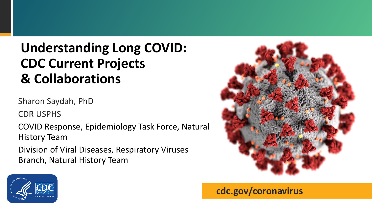# **Understanding Long COVID: CDC Current Projects & Collaborations**

Sharon Saydah, PhD

CDR USPHS

COVID Response, Epidemiology Task Force, Natural History Team

Division of Viral Diseases, Respiratory Viruses Branch, Natural History Team





**cdc.gov/coronavirus**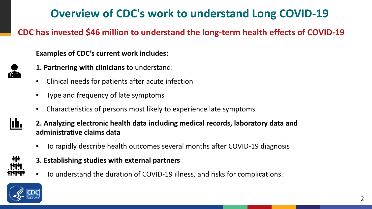# **Overview of CDC's work to understand Long COVID-19**

**CDC has invested \$46 million to understand the long-term health effects of COVID-19**

**Examples of CDC's current work includes:**

- **1. Partnering with clinicians** to understand:
- Clinical needs for patients after acute infection
- Type and frequency of late symptoms
- Characteristics of persons most likely to experience late symptoms
- **2. Analyzing electronic health data including medical records, laboratory data and administrative claims data**
	- To rapidly describe health outcomes several months after COVID-19 diagnosis
	- **3. Establishing studies with external partners**
	- To understand the duration of COVID-19 illness, and risks for complications.



III.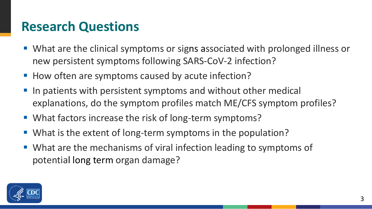# **Research Questions**

- What are the clinical symptoms or signs associated with prolonged illness or new persistent symptoms following SARS-CoV-2 infection?
- How often are symptoms caused by acute infection?
- In patients with persistent symptoms and without other medical explanations, do the symptom profiles match ME/CFS symptom profiles?
- What factors increase the risk of long-term symptoms?
- What is the extent of long-term symptoms in the population?
- What are the mechanisms of viral infection leading to symptoms of potential long term organ damage?

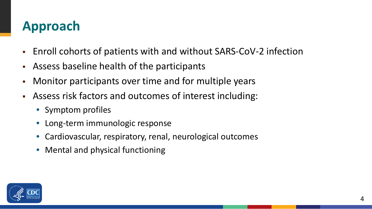# **Approach**

- Enroll cohorts of patients with and without SARS-CoV-2 infection
- Assess baseline health of the participants
- Monitor participants over time and for multiple years
- Assess risk factors and outcomes of interest including:
	- Symptom profiles
	- Long-term immunologic response
	- Cardiovascular, respiratory, renal, neurological outcomes
	- Mental and physical functioning

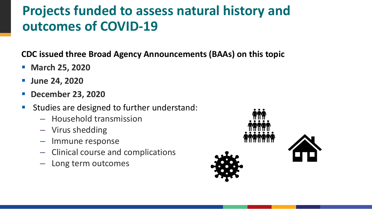# **Projects funded to assess natural history and outcomes of COVID-19**

**CDC issued three Broad Agency Announcements (BAAs) on this topic**

- **March 25, 2020**
- **June 24, 2020**
- **December 23, 2020**
- **Studies are designed to further understand:** 
	- Household transmission
	- Virus shedding
	- Immune response
	- Clinical course and complications
	- Long term outcomes

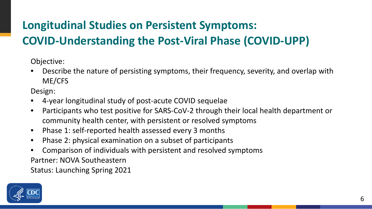# **Longitudinal Studies on Persistent Symptoms: COVID-Understanding the Post-Viral Phase (COVID-UPP)**

Objective:

• Describe the nature of persisting symptoms, their frequency, severity, and overlap with ME/CFS

Design:

- 4-year longitudinal study of post-acute COVID sequelae
- Participants who test positive for SARS-CoV-2 through their local health department or community health center, with persistent or resolved symptoms
- Phase 1: self-reported health assessed every 3 months
- Phase 2: physical examination on a subset of participants
- Comparison of individuals with persistent and resolved symptoms Partner: NOVA Southeastern

Status: Launching Spring 2021

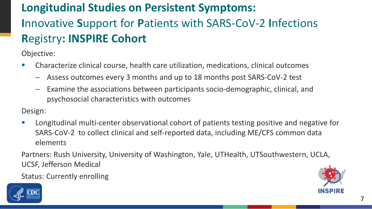# **Longitudinal Studies on Persistent Symptoms: I**nnovative **S**upport for **P**atients with SARS-CoV-2 **I**nfections **R**egistry**: INSPIRE Cohort**

Objective:

- Characterize clinical course, health care utilization, medications, clinical outcomes
	- Assess outcomes every 3 months and up to 18 months post SARS-CoV-2 test
	- Examine the associations between participants socio-demographic, clinical, and psychosocial characteristics with outcomes

Design:

**Longitudinal multi-center observational cohort of patients testing positive and negative for** SARS-CoV-2 to collect clinical and self-reported data, including ME/CFS common data elements

Partners: Rush University, University of Washington, Yale, UTHealth, UTSouthwestern, UCLA, UCSF, Jefferson Medical

Status: Currently enrolling



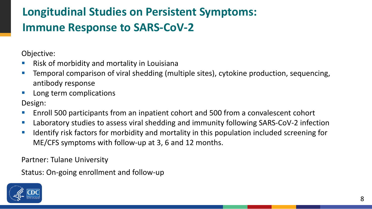# **Longitudinal Studies on Persistent Symptoms: Immune Response to SARS-CoV-2**

Objective:

- **Risk of morbidity and mortality in Louisiana**
- **Temporal comparison of viral shedding (multiple sites), cytokine production, sequencing,** antibody response
- **Long term complications**

Design:

- Enroll 500 participants from an inpatient cohort and 500 from a convalescent cohort
- **Laboratory studies to assess viral shedding and immunity following SARS-CoV-2 infection**
- **IDED 10** Identify risk factors for morbidity and mortality in this population included screening for ME/CFS symptoms with follow-up at 3, 6 and 12 months.

Partner: Tulane University

Status: On-going enrollment and follow-up

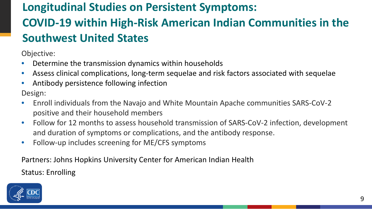# **Longitudinal Studies on Persistent Symptoms: COVID-19 within High-Risk American Indian Communities in the Southwest United States**

Objective:

- Determine the transmission dynamics within households
- Assess clinical complications, long-term sequelae and risk factors associated with sequelae
- Antibody persistence following infection Design:
- Enroll individuals from the Navajo and White Mountain Apache communities SARS-CoV-2 positive and their household members
- Follow for 12 months to assess household transmission of SARS-CoV-2 infection, development and duration of symptoms or complications, and the antibody response.
- Follow-up includes screening for ME/CFS symptoms

Partners: Johns Hopkins University Center for American Indian Health Status: Enrolling

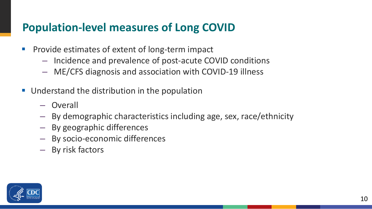#### **Population-level measures of Long COVID**

- **Provide estimates of extent of long-term impact** 
	- Incidence and prevalence of post-acute COVID conditions
	- ME/CFS diagnosis and association with COVID-19 illness
- **Understand the distribution in the population** 
	- Overall
	- By demographic characteristics including age, sex, race/ethnicity
	- By geographic differences
	- By socio-economic differences
	- By risk factors

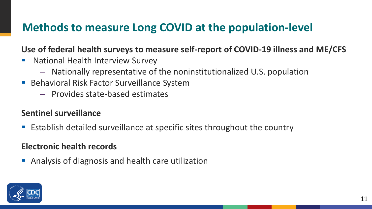### **Methods to measure Long COVID at the population-level**

**Use of federal health surveys to measure self-report of COVID-19 illness and ME/CFS**

- **National Health Interview Survey** 
	- Nationally representative of the noninstitutionalized U.S. population
- Behavioral Risk Factor Surveillance System
	- Provides state-based estimates

#### **Sentinel surveillance**

■ Establish detailed surveillance at specific sites throughout the country

#### **Electronic health records**

Analysis of diagnosis and health care utilization

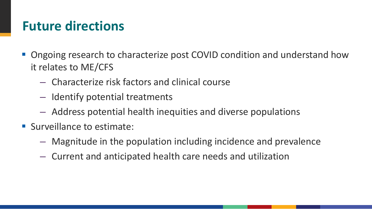# **Future directions**

- Ongoing research to characterize post COVID condition and understand how it relates to ME/CFS
	- Characterize risk factors and clinical course
	- Identify potential treatments
	- Address potential health inequities and diverse populations
- Surveillance to estimate:
	- Magnitude in the population including incidence and prevalence
	- Current and anticipated health care needs and utilization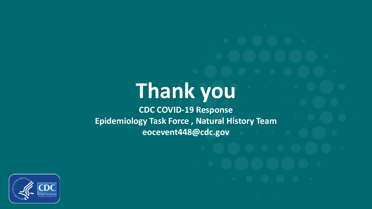# **Thank you**

**CDC COVID-19 Response Epidemiology Task Force , Natural History Team eocevent448@cdc.gov**